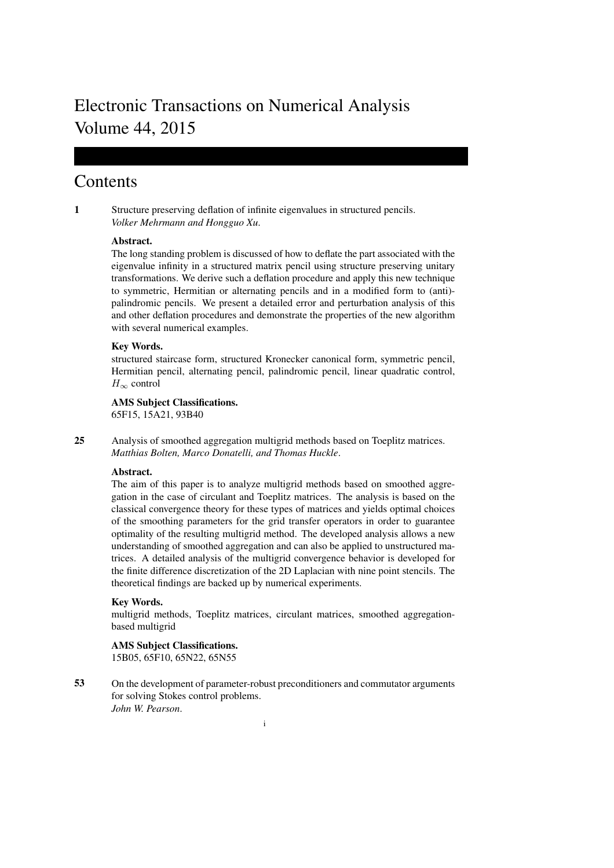# Electronic Transactions on Numerical Analysis Volume 44, 2015

# **Contents**

1 Structure preserving deflation of infinite eigenvalues in structured pencils. *Volker Mehrmann and Hongguo Xu*.

# Abstract.

The long standing problem is discussed of how to deflate the part associated with the eigenvalue infinity in a structured matrix pencil using structure preserving unitary transformations. We derive such a deflation procedure and apply this new technique to symmetric, Hermitian or alternating pencils and in a modified form to (anti) palindromic pencils. We present a detailed error and perturbation analysis of this and other deflation procedures and demonstrate the properties of the new algorithm with several numerical examples.

# Key Words.

structured staircase form, structured Kronecker canonical form, symmetric pencil, Hermitian pencil, alternating pencil, palindromic pencil, linear quadratic control,  $H_{\infty}$  control

# AMS Subject Classifications.

65F15, 15A21, 93B40

25 Analysis of smoothed aggregation multigrid methods based on Toeplitz matrices. *Matthias Bolten, Marco Donatelli, and Thomas Huckle*.

# Abstract.

The aim of this paper is to analyze multigrid methods based on smoothed aggregation in the case of circulant and Toeplitz matrices. The analysis is based on the classical convergence theory for these types of matrices and yields optimal choices of the smoothing parameters for the grid transfer operators in order to guarantee optimality of the resulting multigrid method. The developed analysis allows a new understanding of smoothed aggregation and can also be applied to unstructured matrices. A detailed analysis of the multigrid convergence behavior is developed for the finite difference discretization of the 2D Laplacian with nine point stencils. The theoretical findings are backed up by numerical experiments.

# Key Words.

multigrid methods, Toeplitz matrices, circulant matrices, smoothed aggregationbased multigrid

# AMS Subject Classifications.

15B05, 65F10, 65N22, 65N55

53 On the development of parameter-robust preconditioners and commutator arguments for solving Stokes control problems. *John W. Pearson*.

i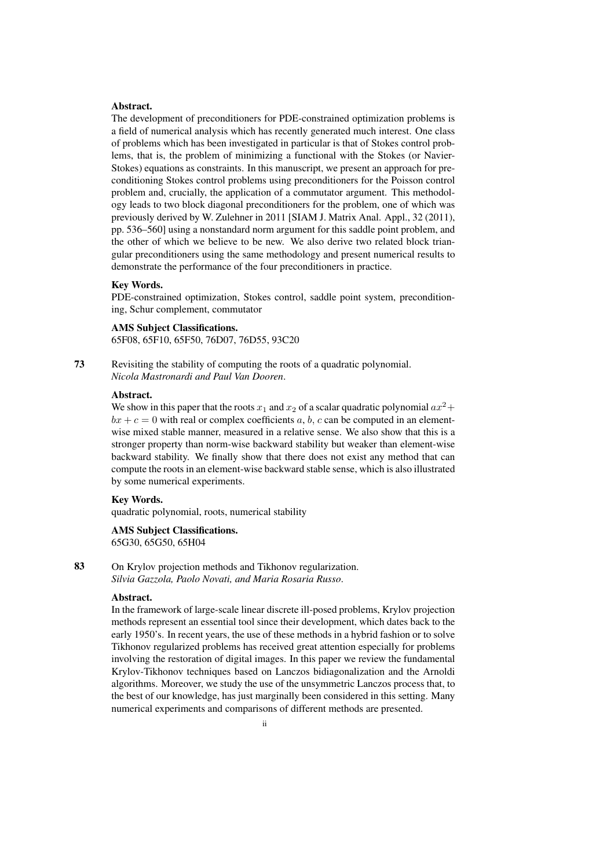# Abstract.

The development of preconditioners for PDE-constrained optimization problems is a field of numerical analysis which has recently generated much interest. One class of problems which has been investigated in particular is that of Stokes control problems, that is, the problem of minimizing a functional with the Stokes (or Navier-Stokes) equations as constraints. In this manuscript, we present an approach for preconditioning Stokes control problems using preconditioners for the Poisson control problem and, crucially, the application of a commutator argument. This methodology leads to two block diagonal preconditioners for the problem, one of which was previously derived by W. Zulehner in 2011 [SIAM J. Matrix Anal. Appl., 32 (2011), pp. 536–560] using a nonstandard norm argument for this saddle point problem, and the other of which we believe to be new. We also derive two related block triangular preconditioners using the same methodology and present numerical results to demonstrate the performance of the four preconditioners in practice.

#### Key Words.

PDE-constrained optimization, Stokes control, saddle point system, preconditioning, Schur complement, commutator

#### AMS Subject Classifications.

65F08, 65F10, 65F50, 76D07, 76D55, 93C20

73 Revisiting the stability of computing the roots of a quadratic polynomial. *Nicola Mastronardi and Paul Van Dooren*.

#### Abstract.

We show in this paper that the roots  $x_1$  and  $x_2$  of a scalar quadratic polynomial  $ax^2 +$  $bx + c = 0$  with real or complex coefficients a, b, c can be computed in an elementwise mixed stable manner, measured in a relative sense. We also show that this is a stronger property than norm-wise backward stability but weaker than element-wise backward stability. We finally show that there does not exist any method that can compute the roots in an element-wise backward stable sense, which is also illustrated by some numerical experiments.

#### Key Words.

quadratic polynomial, roots, numerical stability

AMS Subject Classifications. 65G30, 65G50, 65H04

83 On Krylov projection methods and Tikhonov regularization. *Silvia Gazzola, Paolo Novati, and Maria Rosaria Russo*.

#### Abstract.

In the framework of large-scale linear discrete ill-posed problems, Krylov projection methods represent an essential tool since their development, which dates back to the early 1950's. In recent years, the use of these methods in a hybrid fashion or to solve Tikhonov regularized problems has received great attention especially for problems involving the restoration of digital images. In this paper we review the fundamental Krylov-Tikhonov techniques based on Lanczos bidiagonalization and the Arnoldi algorithms. Moreover, we study the use of the unsymmetric Lanczos process that, to the best of our knowledge, has just marginally been considered in this setting. Many numerical experiments and comparisons of different methods are presented.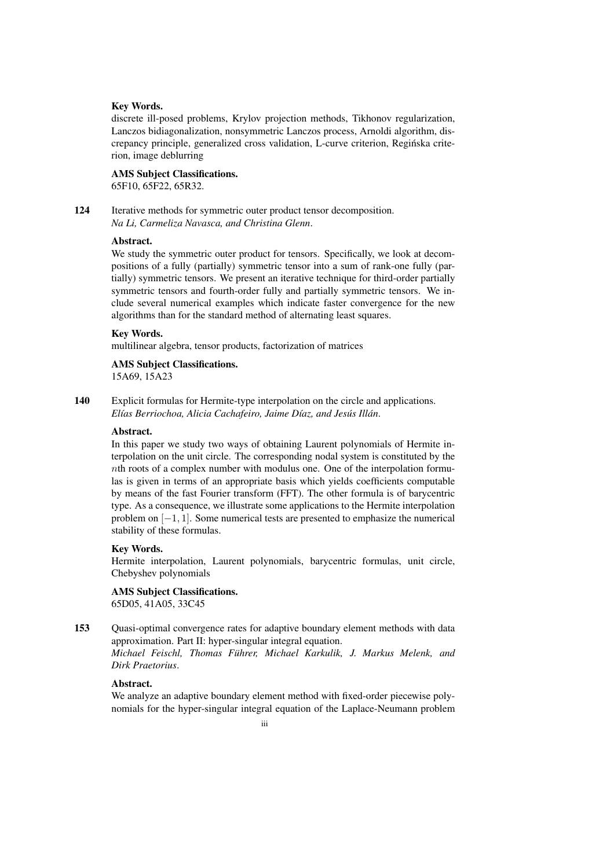#### Key Words.

discrete ill-posed problems, Krylov projection methods, Tikhonov regularization, Lanczos bidiagonalization, nonsymmetric Lanczos process, Arnoldi algorithm, discrepancy principle, generalized cross validation, L-curve criterion, Reginska crite- ´ rion, image deblurring

# AMS Subject Classifications. 65F10, 65F22, 65R32.

124 Iterative methods for symmetric outer product tensor decomposition. *Na Li, Carmeliza Navasca, and Christina Glenn*.

# Abstract.

We study the symmetric outer product for tensors. Specifically, we look at decompositions of a fully (partially) symmetric tensor into a sum of rank-one fully (partially) symmetric tensors. We present an iterative technique for third-order partially symmetric tensors and fourth-order fully and partially symmetric tensors. We include several numerical examples which indicate faster convergence for the new algorithms than for the standard method of alternating least squares.

# Key Words.

multilinear algebra, tensor products, factorization of matrices

# AMS Subject Classifications.

15A69, 15A23

140 Explicit formulas for Hermite-type interpolation on the circle and applications. *Elías Berriochoa, Alicia Cachafeiro, Jaime Díaz, and Jesús Illán.* 

#### Abstract.

In this paper we study two ways of obtaining Laurent polynomials of Hermite interpolation on the unit circle. The corresponding nodal system is constituted by the nth roots of a complex number with modulus one. One of the interpolation formulas is given in terms of an appropriate basis which yields coefficients computable by means of the fast Fourier transform (FFT). The other formula is of barycentric type. As a consequence, we illustrate some applications to the Hermite interpolation problem on [−1, 1]. Some numerical tests are presented to emphasize the numerical stability of these formulas.

# Key Words.

Hermite interpolation, Laurent polynomials, barycentric formulas, unit circle, Chebyshev polynomials

## AMS Subject Classifications.

65D05, 41A05, 33C45

153 Quasi-optimal convergence rates for adaptive boundary element methods with data approximation. Part II: hyper-singular integral equation.

*Michael Feischl, Thomas Fuhrer, Michael Karkulik, J. Markus Melenk, and ¨ Dirk Praetorius*.

# Abstract.

We analyze an adaptive boundary element method with fixed-order piecewise polynomials for the hyper-singular integral equation of the Laplace-Neumann problem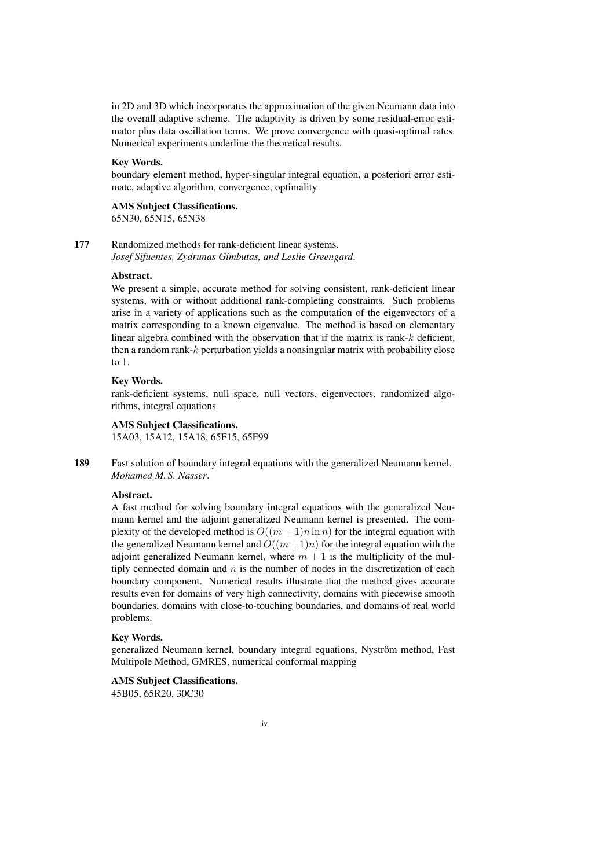in 2D and 3D which incorporates the approximation of the given Neumann data into the overall adaptive scheme. The adaptivity is driven by some residual-error estimator plus data oscillation terms. We prove convergence with quasi-optimal rates. Numerical experiments underline the theoretical results.

# Key Words.

boundary element method, hyper-singular integral equation, a posteriori error estimate, adaptive algorithm, convergence, optimality

# AMS Subject Classifications.

65N30, 65N15, 65N38

177 Randomized methods for rank-deficient linear systems. *Josef Sifuentes, Zydrunas Gimbutas, and Leslie Greengard*.

#### Abstract.

We present a simple, accurate method for solving consistent, rank-deficient linear systems, with or without additional rank-completing constraints. Such problems arise in a variety of applications such as the computation of the eigenvectors of a matrix corresponding to a known eigenvalue. The method is based on elementary linear algebra combined with the observation that if the matrix is rank- $k$  deficient, then a random rank-k perturbation yields a nonsingular matrix with probability close to 1.

# Key Words.

rank-deficient systems, null space, null vectors, eigenvectors, randomized algorithms, integral equations

# AMS Subject Classifications.

15A03, 15A12, 15A18, 65F15, 65F99

189 Fast solution of boundary integral equations with the generalized Neumann kernel. *Mohamed M. S. Nasser*.

## Abstract.

A fast method for solving boundary integral equations with the generalized Neumann kernel and the adjoint generalized Neumann kernel is presented. The complexity of the developed method is  $O((m + 1)n \ln n)$  for the integral equation with the generalized Neumann kernel and  $O((m+1)n)$  for the integral equation with the adjoint generalized Neumann kernel, where  $m + 1$  is the multiplicity of the multiply connected domain and  $n$  is the number of nodes in the discretization of each boundary component. Numerical results illustrate that the method gives accurate results even for domains of very high connectivity, domains with piecewise smooth boundaries, domains with close-to-touching boundaries, and domains of real world problems.

# Key Words.

generalized Neumann kernel, boundary integral equations, Nystrom method, Fast ¨ Multipole Method, GMRES, numerical conformal mapping

# AMS Subject Classifications.

45B05, 65R20, 30C30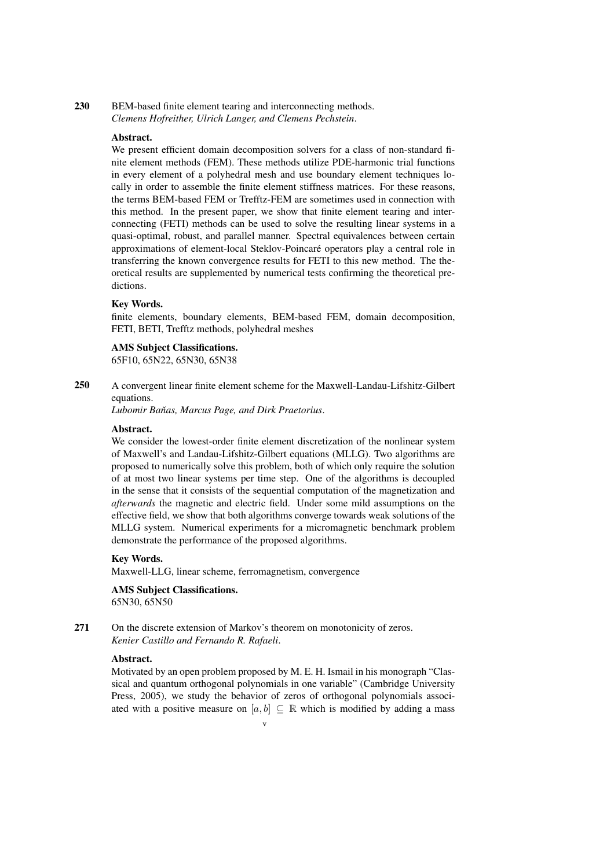# 230 BEM-based finite element tearing and interconnecting methods. *Clemens Hofreither, Ulrich Langer, and Clemens Pechstein*.

#### Abstract.

We present efficient domain decomposition solvers for a class of non-standard finite element methods (FEM). These methods utilize PDE-harmonic trial functions in every element of a polyhedral mesh and use boundary element techniques locally in order to assemble the finite element stiffness matrices. For these reasons, the terms BEM-based FEM or Trefftz-FEM are sometimes used in connection with this method. In the present paper, we show that finite element tearing and interconnecting (FETI) methods can be used to solve the resulting linear systems in a quasi-optimal, robust, and parallel manner. Spectral equivalences between certain approximations of element-local Steklov-Poincare operators play a central role in ´ transferring the known convergence results for FETI to this new method. The theoretical results are supplemented by numerical tests confirming the theoretical predictions.

#### Key Words.

finite elements, boundary elements, BEM-based FEM, domain decomposition, FETI, BETI, Trefftz methods, polyhedral meshes

# AMS Subject Classifications.

65F10, 65N22, 65N30, 65N38

250 A convergent linear finite element scheme for the Maxwell-Landau-Lifshitz-Gilbert equations.

Lubomir Baňas, Marcus Page, and Dirk Praetorius.

#### Abstract.

We consider the lowest-order finite element discretization of the nonlinear system of Maxwell's and Landau-Lifshitz-Gilbert equations (MLLG). Two algorithms are proposed to numerically solve this problem, both of which only require the solution of at most two linear systems per time step. One of the algorithms is decoupled in the sense that it consists of the sequential computation of the magnetization and *afterwards* the magnetic and electric field. Under some mild assumptions on the effective field, we show that both algorithms converge towards weak solutions of the MLLG system. Numerical experiments for a micromagnetic benchmark problem demonstrate the performance of the proposed algorithms.

# Key Words.

Maxwell-LLG, linear scheme, ferromagnetism, convergence

AMS Subject Classifications. 65N30, 65N50

271 On the discrete extension of Markov's theorem on monotonicity of zeros. *Kenier Castillo and Fernando R. Rafaeli*.

# Abstract.

Motivated by an open problem proposed by M. E. H. Ismail in his monograph "Classical and quantum orthogonal polynomials in one variable" (Cambridge University Press, 2005), we study the behavior of zeros of orthogonal polynomials associated with a positive measure on  $[a, b] \subseteq \mathbb{R}$  which is modified by adding a mass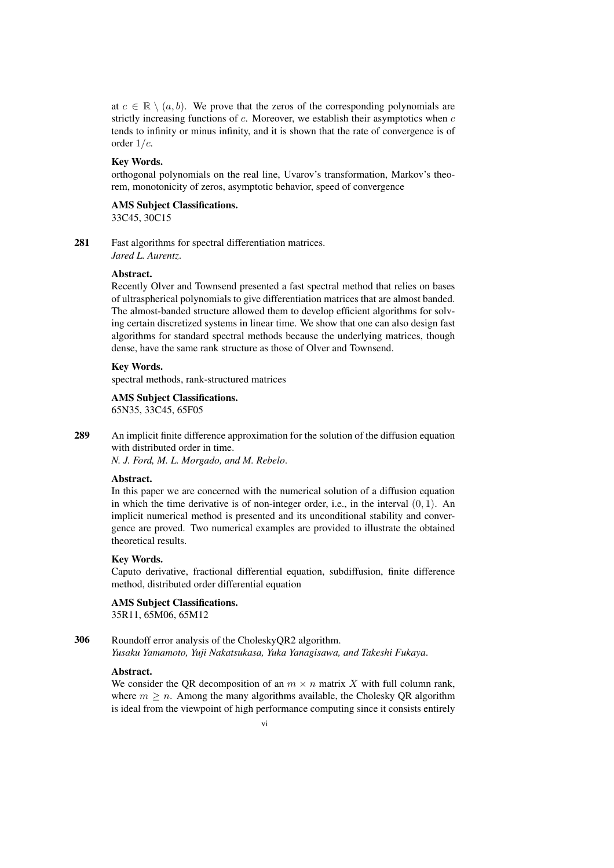at  $c \in \mathbb{R} \setminus (a, b)$ . We prove that the zeros of the corresponding polynomials are strictly increasing functions of  $c$ . Moreover, we establish their asymptotics when  $c$ tends to infinity or minus infinity, and it is shown that the rate of convergence is of order 1/c.

#### Key Words.

orthogonal polynomials on the real line, Uvarov's transformation, Markov's theorem, monotonicity of zeros, asymptotic behavior, speed of convergence

#### AMS Subject Classifications. 33C45, 30C15

281 Fast algorithms for spectral differentiation matrices. *Jared L. Aurentz*.

#### Abstract.

Recently Olver and Townsend presented a fast spectral method that relies on bases of ultraspherical polynomials to give differentiation matrices that are almost banded. The almost-banded structure allowed them to develop efficient algorithms for solving certain discretized systems in linear time. We show that one can also design fast algorithms for standard spectral methods because the underlying matrices, though dense, have the same rank structure as those of Olver and Townsend.

# Key Words.

spectral methods, rank-structured matrices

# AMS Subject Classifications.

65N35, 33C45, 65F05

289 An implicit finite difference approximation for the solution of the diffusion equation with distributed order in time.

*N. J. Ford, M. L. Morgado, and M. Rebelo*.

# Abstract.

In this paper we are concerned with the numerical solution of a diffusion equation in which the time derivative is of non-integer order, i.e., in the interval  $(0, 1)$ . An implicit numerical method is presented and its unconditional stability and convergence are proved. Two numerical examples are provided to illustrate the obtained theoretical results.

# Key Words.

Caputo derivative, fractional differential equation, subdiffusion, finite difference method, distributed order differential equation

# AMS Subject Classifications. 35R11, 65M06, 65M12

306 Roundoff error analysis of the CholeskyQR2 algorithm.

*Yusaku Yamamoto, Yuji Nakatsukasa, Yuka Yanagisawa, and Takeshi Fukaya*.

# Abstract.

We consider the QR decomposition of an  $m \times n$  matrix X with full column rank, where  $m \geq n$ . Among the many algorithms available, the Cholesky QR algorithm is ideal from the viewpoint of high performance computing since it consists entirely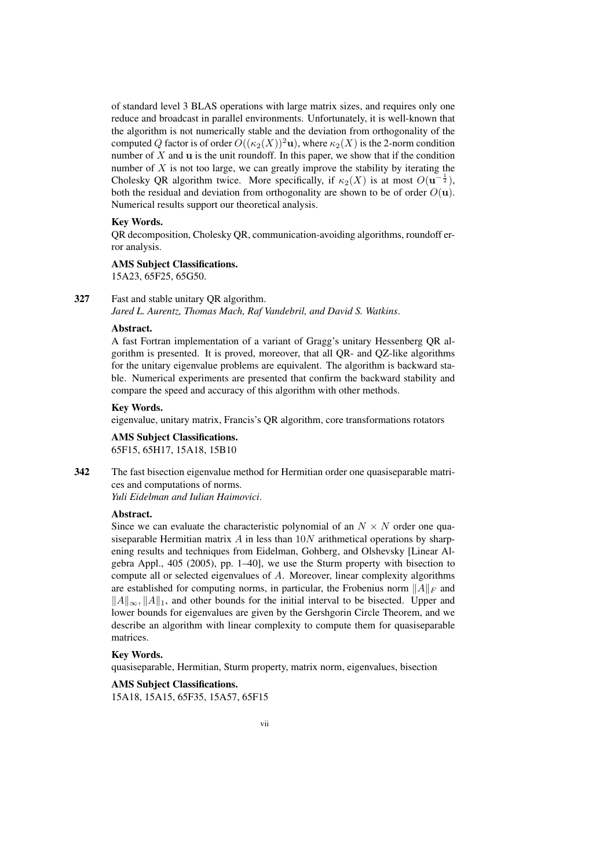of standard level 3 BLAS operations with large matrix sizes, and requires only one reduce and broadcast in parallel environments. Unfortunately, it is well-known that the algorithm is not numerically stable and the deviation from orthogonality of the computed Q factor is of order  $O((\kappa_2(X))^2$ u), where  $\kappa_2(X)$  is the 2-norm condition number of  $X$  and  $u$  is the unit roundoff. In this paper, we show that if the condition number of  $X$  is not too large, we can greatly improve the stability by iterating the Cholesky QR algorithm twice. More specifically, if  $\kappa_2(X)$  is at most  $O(u^{-\frac{1}{2}})$ , both the residual and deviation from orthogonality are shown to be of order  $O(\mathbf{u})$ . Numerical results support our theoretical analysis.

#### Key Words.

QR decomposition, Cholesky QR, communication-avoiding algorithms, roundoff error analysis.

# AMS Subject Classifications.

15A23, 65F25, 65G50.

# 327 Fast and stable unitary QR algorithm.

*Jared L. Aurentz, Thomas Mach, Raf Vandebril, and David S. Watkins*.

#### Abstract.

A fast Fortran implementation of a variant of Gragg's unitary Hessenberg QR algorithm is presented. It is proved, moreover, that all QR- and QZ-like algorithms for the unitary eigenvalue problems are equivalent. The algorithm is backward stable. Numerical experiments are presented that confirm the backward stability and compare the speed and accuracy of this algorithm with other methods.

#### Key Words.

eigenvalue, unitary matrix, Francis's QR algorithm, core transformations rotators

AMS Subject Classifications. 65F15, 65H17, 15A18, 15B10

342 The fast bisection eigenvalue method for Hermitian order one quasiseparable matrices and computations of norms.

*Yuli Eidelman and Iulian Haimovici*.

# Abstract.

Since we can evaluate the characteristic polynomial of an  $N \times N$  order one quasiseparable Hermitian matrix  $A$  in less than  $10N$  arithmetical operations by sharpening results and techniques from Eidelman, Gohberg, and Olshevsky [Linear Algebra Appl., 405 (2005), pp. 1–40], we use the Sturm property with bisection to compute all or selected eigenvalues of  $A$ . Moreover, linear complexity algorithms are established for computing norms, in particular, the Frobenius norm  $||A||_F$  and  $||A||_{\infty}$ ,  $||A||_1$ , and other bounds for the initial interval to be bisected. Upper and lower bounds for eigenvalues are given by the Gershgorin Circle Theorem, and we describe an algorithm with linear complexity to compute them for quasiseparable matrices.

# Key Words.

quasiseparable, Hermitian, Sturm property, matrix norm, eigenvalues, bisection

AMS Subject Classifications. 15A18, 15A15, 65F35, 15A57, 65F15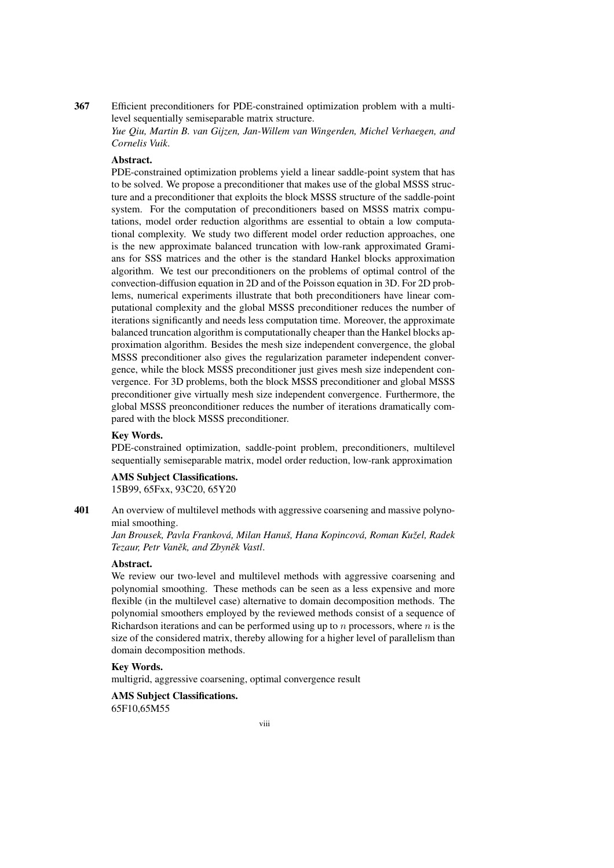367 Efficient preconditioners for PDE-constrained optimization problem with a multilevel sequentially semiseparable matrix structure.

*Yue Qiu, Martin B. van Gijzen, Jan-Willem van Wingerden, Michel Verhaegen, and Cornelis Vuik*.

# Abstract.

PDE-constrained optimization problems yield a linear saddle-point system that has to be solved. We propose a preconditioner that makes use of the global MSSS structure and a preconditioner that exploits the block MSSS structure of the saddle-point system. For the computation of preconditioners based on MSSS matrix computations, model order reduction algorithms are essential to obtain a low computational complexity. We study two different model order reduction approaches, one is the new approximate balanced truncation with low-rank approximated Gramians for SSS matrices and the other is the standard Hankel blocks approximation algorithm. We test our preconditioners on the problems of optimal control of the convection-diffusion equation in 2D and of the Poisson equation in 3D. For 2D problems, numerical experiments illustrate that both preconditioners have linear computational complexity and the global MSSS preconditioner reduces the number of iterations significantly and needs less computation time. Moreover, the approximate balanced truncation algorithm is computationally cheaper than the Hankel blocks approximation algorithm. Besides the mesh size independent convergence, the global MSSS preconditioner also gives the regularization parameter independent convergence, while the block MSSS preconditioner just gives mesh size independent convergence. For 3D problems, both the block MSSS preconditioner and global MSSS preconditioner give virtually mesh size independent convergence. Furthermore, the global MSSS preonconditioner reduces the number of iterations dramatically compared with the block MSSS preconditioner.

#### Key Words.

PDE-constrained optimization, saddle-point problem, preconditioners, multilevel sequentially semiseparable matrix, model order reduction, low-rank approximation

# AMS Subject Classifications.

15B99, 65Fxx, 93C20, 65Y20

401 An overview of multilevel methods with aggressive coarsening and massive polynomial smoothing.

*Jan Brousek, Pavla Frankova, Milan Hanu ´ s, Hana Kopincov ˇ a, Roman Ku ´ zel, Radek ˇ Tezaur, Petr Vaněk, and Zbyněk Vastl.* 

#### Abstract.

We review our two-level and multilevel methods with aggressive coarsening and polynomial smoothing. These methods can be seen as a less expensive and more flexible (in the multilevel case) alternative to domain decomposition methods. The polynomial smoothers employed by the reviewed methods consist of a sequence of Richardson iterations and can be performed using up to  $n$  processors, where  $n$  is the size of the considered matrix, thereby allowing for a higher level of parallelism than domain decomposition methods.

#### Key Words.

multigrid, aggressive coarsening, optimal convergence result

AMS Subject Classifications. 65F10,65M55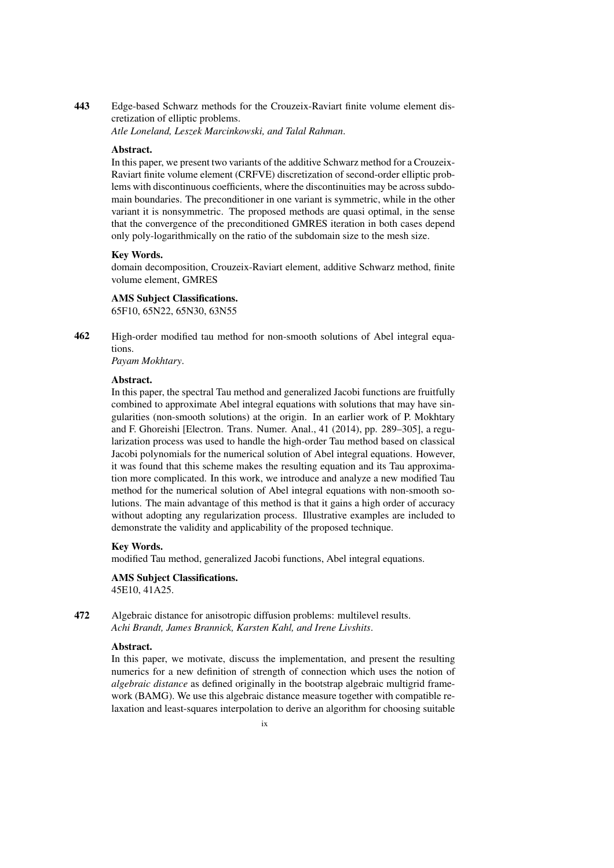# 443 Edge-based Schwarz methods for the Crouzeix-Raviart finite volume element discretization of elliptic problems.

*Atle Loneland, Leszek Marcinkowski, and Talal Rahman*.

#### Abstract.

In this paper, we present two variants of the additive Schwarz method for a Crouzeix-Raviart finite volume element (CRFVE) discretization of second-order elliptic problems with discontinuous coefficients, where the discontinuities may be across subdomain boundaries. The preconditioner in one variant is symmetric, while in the other variant it is nonsymmetric. The proposed methods are quasi optimal, in the sense that the convergence of the preconditioned GMRES iteration in both cases depend only poly-logarithmically on the ratio of the subdomain size to the mesh size.

#### Key Words.

domain decomposition, Crouzeix-Raviart element, additive Schwarz method, finite volume element, GMRES

# AMS Subject Classifications.

65F10, 65N22, 65N30, 63N55

462 High-order modified tau method for non-smooth solutions of Abel integral equations.

*Payam Mokhtary*.

# Abstract.

In this paper, the spectral Tau method and generalized Jacobi functions are fruitfully combined to approximate Abel integral equations with solutions that may have singularities (non-smooth solutions) at the origin. In an earlier work of P. Mokhtary and F. Ghoreishi [Electron. Trans. Numer. Anal., 41 (2014), pp. 289–305], a regularization process was used to handle the high-order Tau method based on classical Jacobi polynomials for the numerical solution of Abel integral equations. However, it was found that this scheme makes the resulting equation and its Tau approximation more complicated. In this work, we introduce and analyze a new modified Tau method for the numerical solution of Abel integral equations with non-smooth solutions. The main advantage of this method is that it gains a high order of accuracy without adopting any regularization process. Illustrative examples are included to demonstrate the validity and applicability of the proposed technique.

#### Key Words.

modified Tau method, generalized Jacobi functions, Abel integral equations.

# AMS Subject Classifications.

45E10, 41A25.

# 472 Algebraic distance for anisotropic diffusion problems: multilevel results. *Achi Brandt, James Brannick, Karsten Kahl, and Irene Livshits*.

# Abstract.

In this paper, we motivate, discuss the implementation, and present the resulting numerics for a new definition of strength of connection which uses the notion of *algebraic distance* as defined originally in the bootstrap algebraic multigrid framework (BAMG). We use this algebraic distance measure together with compatible relaxation and least-squares interpolation to derive an algorithm for choosing suitable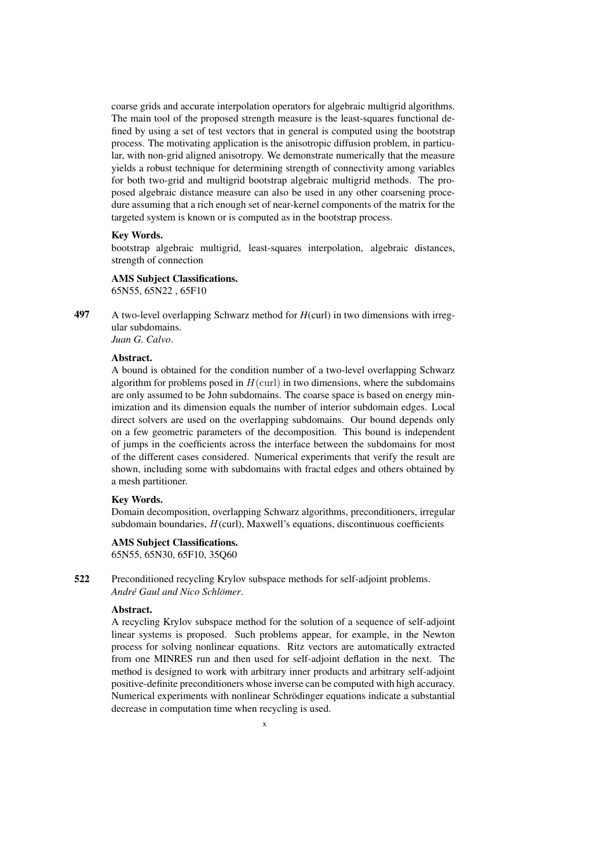coarse grids and accurate interpolation operators for algebraic multigrid algorithms. The main tool of the proposed strength measure is the least-squares functional defined by using a set of test vectors that in general is computed using the bootstrap process. The motivating application is the anisotropic diffusion problem, in particular, with non-grid aligned anisotropy. We demonstrate numerically that the measure yields a robust technique for determining strength of connectivity among variables for both two-grid and multigrid bootstrap algebraic multigrid methods. The proposed algebraic distance measure can also be used in any other coarsening procedure assuming that a rich enough set of near-kernel components of the matrix for the targeted system is known or is computed as in the bootstrap process.

#### Key Words.

bootstrap algebraic multigrid, least-squares interpolation, algebraic distances, strength of connection

# AMS Subject Classifications.

65N55, 65N22 , 65F10

497 A two-level overlapping Schwarz method for *H*(curl) in two dimensions with irregular subdomains. *Juan G. Calvo*.

#### Abstract.

A bound is obtained for the condition number of a two-level overlapping Schwarz algorithm for problems posed in  $H(\text{curl})$  in two dimensions, where the subdomains are only assumed to be John subdomains. The coarse space is based on energy minimization and its dimension equals the number of interior subdomain edges. Local direct solvers are used on the overlapping subdomains. Our bound depends only on a few geometric parameters of the decomposition. This bound is independent of jumps in the coefficients across the interface between the subdomains for most of the different cases considered. Numerical experiments that verify the result are shown, including some with subdomains with fractal edges and others obtained by a mesh partitioner.

#### Key Words.

Domain decomposition, overlapping Schwarz algorithms, preconditioners, irregular subdomain boundaries, H(curl), Maxwell's equations, discontinuous coefficients

# AMS Subject Classifications.

65N55, 65N30, 65F10, 35Q60

522 Preconditioned recycling Krylov subspace methods for self-adjoint problems. *André Gaul and Nico Schlömer.* 

#### Abstract.

A recycling Krylov subspace method for the solution of a sequence of self-adjoint linear systems is proposed. Such problems appear, for example, in the Newton process for solving nonlinear equations. Ritz vectors are automatically extracted from one MINRES run and then used for self-adjoint deflation in the next. The method is designed to work with arbitrary inner products and arbitrary self-adjoint positive-definite preconditioners whose inverse can be computed with high accuracy. Numerical experiments with nonlinear Schrödinger equations indicate a substantial decrease in computation time when recycling is used.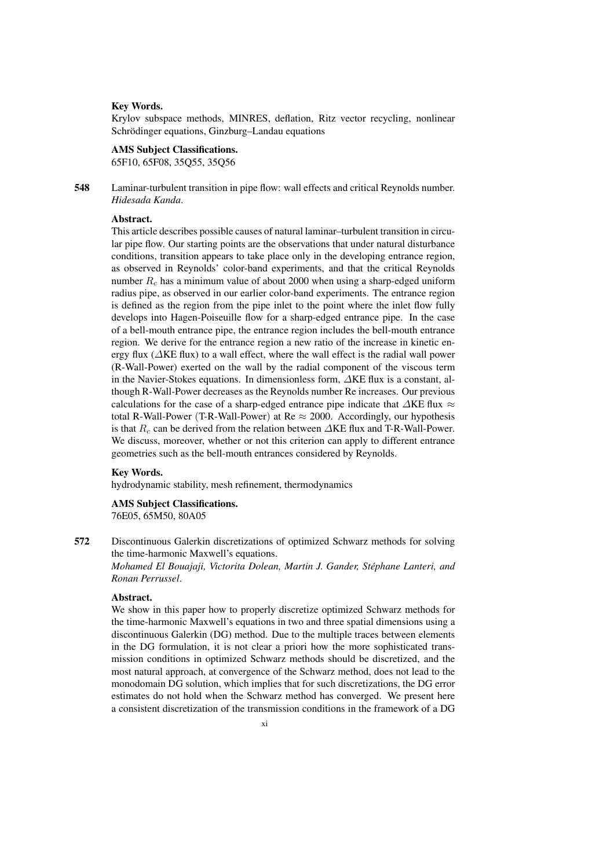## Key Words.

Krylov subspace methods, MINRES, deflation, Ritz vector recycling, nonlinear Schrödinger equations, Ginzburg–Landau equations

# AMS Subject Classifications.

65F10, 65F08, 35Q55, 35Q56

548 Laminar-turbulent transition in pipe flow: wall effects and critical Reynolds number. *Hidesada Kanda*.

# Abstract.

This article describes possible causes of natural laminar–turbulent transition in circular pipe flow. Our starting points are the observations that under natural disturbance conditions, transition appears to take place only in the developing entrance region, as observed in Reynolds' color-band experiments, and that the critical Reynolds number  $R_c$  has a minimum value of about 2000 when using a sharp-edged uniform radius pipe, as observed in our earlier color-band experiments. The entrance region is defined as the region from the pipe inlet to the point where the inlet flow fully develops into Hagen-Poiseuille flow for a sharp-edged entrance pipe. In the case of a bell-mouth entrance pipe, the entrance region includes the bell-mouth entrance region. We derive for the entrance region a new ratio of the increase in kinetic energy flux (∆KE flux) to a wall effect, where the wall effect is the radial wall power (R-Wall-Power) exerted on the wall by the radial component of the viscous term in the Navier-Stokes equations. In dimensionless form, ∆KE flux is a constant, although R-Wall-Power decreases as the Reynolds number Re increases. Our previous calculations for the case of a sharp-edged entrance pipe indicate that  $\Delta KE$  flux  $\approx$ total R-Wall-Power (T-R-Wall-Power) at Re  $\approx$  2000. Accordingly, our hypothesis is that  $R_c$  can be derived from the relation between  $\triangle$ KE flux and T-R-Wall-Power. We discuss, moreover, whether or not this criterion can apply to different entrance geometries such as the bell-mouth entrances considered by Reynolds.

#### Key Words.

hydrodynamic stability, mesh refinement, thermodynamics

# AMS Subject Classifications.

76E05, 65M50, 80A05

572 Discontinuous Galerkin discretizations of optimized Schwarz methods for solving the time-harmonic Maxwell's equations.

*Mohamed El Bouajaji, Victorita Dolean, Martin J. Gander, Stephane Lanteri, and ´ Ronan Perrussel*.

# Abstract.

We show in this paper how to properly discretize optimized Schwarz methods for the time-harmonic Maxwell's equations in two and three spatial dimensions using a discontinuous Galerkin (DG) method. Due to the multiple traces between elements in the DG formulation, it is not clear a priori how the more sophisticated transmission conditions in optimized Schwarz methods should be discretized, and the most natural approach, at convergence of the Schwarz method, does not lead to the monodomain DG solution, which implies that for such discretizations, the DG error estimates do not hold when the Schwarz method has converged. We present here a consistent discretization of the transmission conditions in the framework of a DG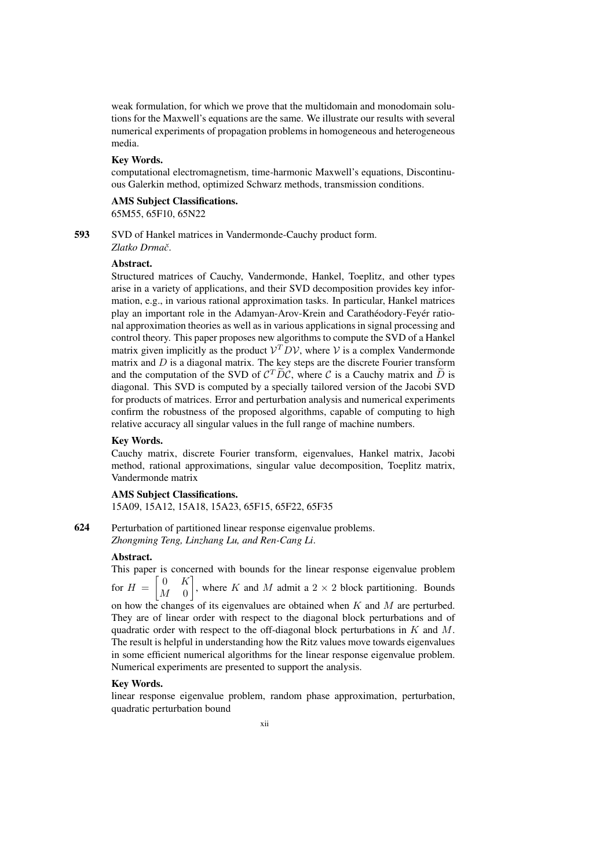weak formulation, for which we prove that the multidomain and monodomain solutions for the Maxwell's equations are the same. We illustrate our results with several numerical experiments of propagation problems in homogeneous and heterogeneous media.

#### Key Words.

computational electromagnetism, time-harmonic Maxwell's equations, Discontinuous Galerkin method, optimized Schwarz methods, transmission conditions.

#### AMS Subject Classifications. 65M55, 65F10, 65N22

593 SVD of Hankel matrices in Vandermonde-Cauchy product form.

*Zlatko Drmacˇ*.

# Abstract.

Structured matrices of Cauchy, Vandermonde, Hankel, Toeplitz, and other types arise in a variety of applications, and their SVD decomposition provides key information, e.g., in various rational approximation tasks. In particular, Hankel matrices play an important role in the Adamyan-Arov-Krein and Carathéodory-Feyér rational approximation theories as well as in various applications in signal processing and control theory. This paper proposes new algorithms to compute the SVD of a Hankel matrix given implicitly as the product  $V^T D V$ , where V is a complex Vandermonde matrix and  $D$  is a diagonal matrix. The key steps are the discrete Fourier transform and the computation of the SVD of  $C^T \widetilde{D}C$ , where C is a Cauchy matrix and  $\widetilde{D}$  is diagonal. This SVD is computed by a specially tailored version of the Jacobi SVD for products of matrices. Error and perturbation analysis and numerical experiments confirm the robustness of the proposed algorithms, capable of computing to high relative accuracy all singular values in the full range of machine numbers.

#### Key Words.

Cauchy matrix, discrete Fourier transform, eigenvalues, Hankel matrix, Jacobi method, rational approximations, singular value decomposition, Toeplitz matrix, Vandermonde matrix

# AMS Subject Classifications. 15A09, 15A12, 15A18, 15A23, 65F15, 65F22, 65F35

624 Perturbation of partitioned linear response eigenvalue problems. *Zhongming Teng, Linzhang Lu, and Ren-Cang Li*.

# Abstract.

This paper is concerned with bounds for the linear response eigenvalue problem for  $H =$  $\begin{bmatrix} 0 & K \end{bmatrix}$ 1 , where K and M admit a  $2 \times 2$  block partitioning. Bounds

 $M = 0$ on how the changes of its eigenvalues are obtained when  $K$  and  $M$  are perturbed. They are of linear order with respect to the diagonal block perturbations and of

quadratic order with respect to the off-diagonal block perturbations in  $K$  and  $M$ . The result is helpful in understanding how the Ritz values move towards eigenvalues in some efficient numerical algorithms for the linear response eigenvalue problem. Numerical experiments are presented to support the analysis.

#### Key Words.

linear response eigenvalue problem, random phase approximation, perturbation, quadratic perturbation bound